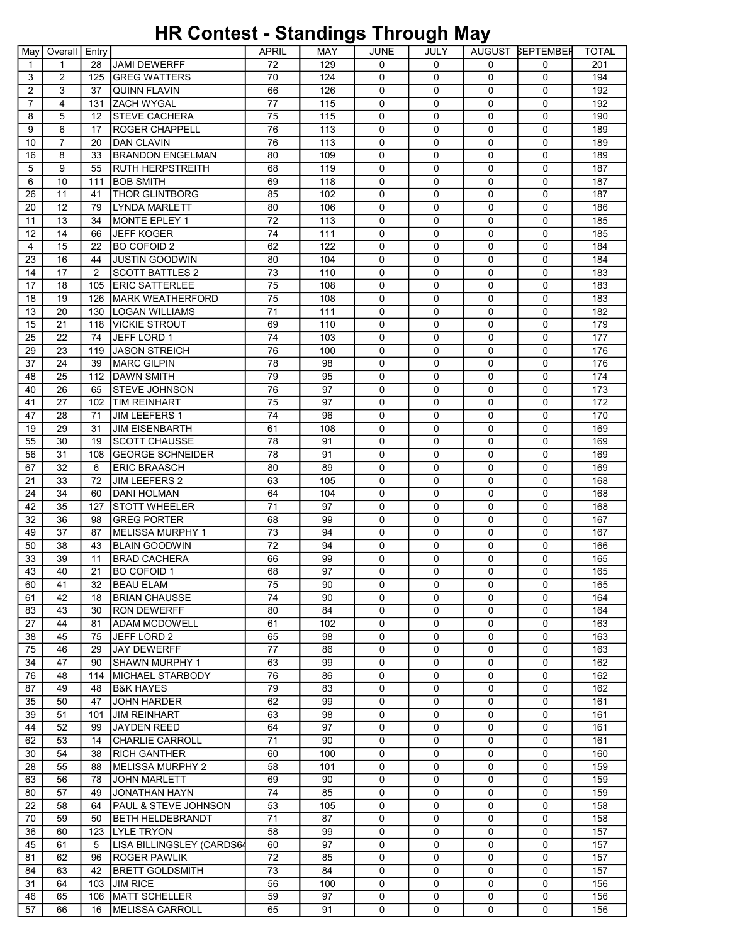## HR Contest - Standings Through May

| May      | Overall        | Entry          |                                         | APRIL | MAY | JUNE        | JULY        |             | AUGUST BEPTEMBER | TOTAL |
|----------|----------------|----------------|-----------------------------------------|-------|-----|-------------|-------------|-------------|------------------|-------|
| 1        | $\mathbf 1$    | 28             | IJAMI DEWERFF                           | 72    | 129 | $\Omega$    | $\Omega$    | $\Omega$    | $\Omega$         | 201   |
| 3        | 2              | 125            | <b>GREG WATTERS</b>                     | 70    | 124 | $\mathbf 0$ | 0           | $\Omega$    | $\Omega$         | 194   |
| 2        | 3              | 37             | <b>QUINN FLAVIN</b>                     | 66    | 126 | 0           | $\Omega$    | 0           | $\mathbf 0$      | 192   |
| 7        | $\overline{4}$ | 131            | <b>ZACH WYGAL</b>                       | 77    | 115 | 0           | $\Omega$    | 0           | $\mathbf 0$      | 192   |
| 8        | 5              | 12             | <b>STEVE CACHERA</b>                    | 75    | 115 | 0           | 0           | 0           | $\mathbf 0$      | 190   |
| 9        | 6              | 17             | <b>ROGER CHAPPELL</b>                   | 76    | 113 | 0           | $\mathbf 0$ | 0           | $\mathbf 0$      | 189   |
| 10       | $\overline{7}$ | 20             | <b>DAN CLAVIN</b>                       | 76    | 113 | 0           | 0           | 0           | $\mathbf 0$      | 189   |
| 16       | 8              | 33             | <b>BRANDON ENGELMAN</b>                 | 80    | 109 | 0           | $\Omega$    | $\Omega$    | $\mathbf 0$      | 189   |
| 5        | 9              | 55             | RUTH HERPSTREITH                        | 68    | 119 | $\mathbf 0$ | $\Omega$    | 0           | $\mathbf 0$      | 187   |
|          |                |                |                                         |       |     |             |             |             |                  |       |
| 6        | 10             | 111            | <b>BOB SMITH</b>                        | 69    | 118 | 0           | 0           | 0           | $\mathbf 0$      | 187   |
| 26       | 11             | 41             | <b>THOR GLINTBORG</b>                   | 85    | 102 | 0           | 0           | 0           | 0                | 187   |
| 20       | 12             | 79             | <b>ILYNDA MARLETT</b>                   | 80    | 106 | $\mathbf 0$ | $\mathbf 0$ | 0           | $\mathbf 0$      | 186   |
| 11       | 13             | 34             | MONTE EPLEY 1                           | 72    | 113 | 0           | 0           | 0           | $\mathbf 0$      | 185   |
| 12       | 14             | 66             | <b>JEFF KOGER</b>                       | 74    | 111 | 0           | $\Omega$    | 0           | $\mathbf 0$      | 185   |
| 4        | 15             | 22             | BO COFOID 2                             | 62    | 122 | 0           | $\Omega$    | 0           | $\mathbf 0$      | 184   |
| 23       | 16             | 44             | <b>JUSTIN GOODWIN</b>                   | 80    | 104 | 0           | $\mathbf 0$ | 0           | $\mathbf 0$      | 184   |
| 14       | 17             | $\overline{2}$ | <b>SCOTT BATTLES 2</b>                  | 73    | 110 | $\mathbf 0$ | $\mathbf 0$ | 0           | $\mathbf 0$      | 183   |
| 17       | 18             | 105            | <b>ERIC SATTERLEE</b>                   | 75    | 108 | 0           | 0           | 0           | 0                | 183   |
| 18       | 19             | 126            | IMARK WEATHERFORD                       | 75    | 108 | 0           | $\Omega$    | $\Omega$    | $\mathbf{0}$     | 183   |
| 13       | 20             | 130            | LOGAN WILLIAMS                          | 71    | 111 | $\mathbf 0$ | $\Omega$    | 0           | $\mathbf 0$      | 182   |
| 15       | 21             | 118            | <b>VICKIE STROUT</b>                    | 69    | 110 | 0           | 0           | 0           | $\mathbf 0$      | 179   |
| 25       | 22             | 74             | JEFF LORD 1                             | 74    | 103 | 0           | 0           | 0           | 0                | 177   |
| 29       | 23             | 119            | <b>JASON STREICH</b>                    | 76    | 100 | $\mathbf 0$ | $\mathbf 0$ | 0           | $\mathbf 0$      | 176   |
| 37       | 24             | 39             | <b>MARC GILPIN</b>                      | 78    | 98  | 0           | $\mathbf 0$ | 0           | $\mathbf 0$      | 176   |
| 48       | 25             | 112            | <b>DAWN SMITH</b>                       | 79    | 95  | 0           | $\Omega$    | $\mathbf 0$ | $\mathbf 0$      | 174   |
| 40       | 26             | 65             | ISTEVE JOHNSON                          | 76    | 97  | 0           | $\Omega$    | 0           | 0                | 173   |
| 41       | 27             | 102            | <b>TIM REINHART</b>                     | 75    | 97  | $\mathbf 0$ | 0           | 0           | $\mathbf 0$      | 172   |
| 47       | 28             | 71             | JIM LEEFERS 1                           | 74    | 96  | $\mathbf 0$ | $\mathbf 0$ | 0           | $\mathbf 0$      | 170   |
| 19       | 29             | 31             | <b>JIM EISENBARTH</b>                   | 61    | 108 | 0           | $\Omega$    | 0           | $\mathbf 0$      | 169   |
| 55       | 30             | 19             | <b>SCOTT CHAUSSE</b>                    | 78    | 91  | 0           | $\Omega$    | $\Omega$    | $\mathbf 0$      | 169   |
| 56       | 31             | 108            | <b>GEORGE SCHNEIDER</b>                 | 78    | 91  | 0           | $\Omega$    | 0           | $\mathbf 0$      | 169   |
| 67       | 32             | 6              | <b>ERIC BRAASCH</b>                     | 80    | 89  | 0           | 0           | 0           | $\mathbf 0$      | 169   |
| 21       | 33             | 72             | JIM LEEFERS 2                           | 63    | 105 | 0           | 0           | 0           | 0                | 168   |
| 24       | 34             | 60             | DANI HOLMAN                             | 64    | 104 | $\mathbf 0$ | $\mathbf 0$ | 0           | $\mathbf 0$      | 168   |
| 42       | 35             | 127            | <b>STOTT WHEELER</b>                    | 71    | 97  | 0           | $\mathbf 0$ | 0           | $\mathbf 0$      | 168   |
| 32       | 36             | 98             | <b>IGREG PORTER</b>                     | 68    | 99  | 0           | $\Omega$    | 0           | $\mathbf 0$      | 167   |
| 49       | 37             | 87             | MELISSA MURPHY 1                        | 73    | 94  | $\mathbf 0$ | $\Omega$    | 0           | $\mathbf 0$      | 167   |
| 50       | 38             | 43             | <b>BLAIN GOODWIN</b>                    | 72    | 94  | $\mathbf 0$ | 0           | 0           | $\mathbf 0$      | 166   |
| 33       | 39             | 11             | <b>BRAD CACHERA</b>                     | 66    | 99  | 0           | 0           | 0           | 0                | 165   |
| 43       | 40             | 21             | IBO COFOID 1                            | 68    | 97  | 0           | 0           | $\Omega$    | 0                | 165   |
| 60       | 41             | 32             | <b>BEAU ELAM</b>                        | 75    | 90  | 0           | 0           | 0           | 0                | 165   |
| 61       | 42             | 18             | <b>BRIAN CHAUSSE</b>                    | 74    | 90  | $\Omega$    | $\Omega$    | 0           | $\Omega$         | 164   |
| 83       | 43             | 30             | <b>RON DEWERFF</b>                      | 80    | 84  | 0           | 0           | 0           | 0                | 164   |
| 27       | 44             | 81             | <b>ADAM MCDOWELL</b>                    | 61    | 102 | 0           | 0           | 0           | 0                | 163   |
| 38       | 45             | 75             | JEFF LORD 2                             | 65    | 98  | 0           | $\mathbf 0$ | 0           | 0                | 163   |
| 75       | 46             | 29             | <b>JAY DEWERFF</b>                      | 77    | 86  | 0           | 0           | 0           | 0                | 163   |
| 34       | 47             | 90             | ISHAWN MURPHY 1                         | 63    | 99  | 0           | $\Omega$    | 0           | 0                | 162   |
| 76       | 48             | 114            | MICHAEL STARBODY                        | 76    | 86  | 0           | $\mathbf 0$ | 0           | 0                | 162   |
| 87       | 49             | 48             | <b>B&amp;K HAYES</b>                    | 79    | 83  | 0           | 0           | 0           | 0                | 162   |
| 35       | 50             | 47             | <b>JOHN HARDER</b>                      | 62    | 99  | 0           | 0           | 0           | 0                | 161   |
| 39       | 51             | 101            | <b>JIM REINHART</b>                     | 63    | 98  | 0           | 0           | 0           | 0                | 161   |
| 44       | 52             | 99             | JAYDEN REED                             | 64    | 97  | 0           | 0           | 0           | 0                | 161   |
| 62       | 53             | 14             | <b>CHARLIE CARROLL</b>                  | 71    | 90  | 0           | 0           | 0           | 0                | 161   |
| 30       | 54             | 38             |                                         | 60    | 100 | 0           | 0           | 0           | 0                | 160   |
| 28       | 55             | 88             | <b>RICH GANTHER</b><br>MELISSA MURPHY 2 | 58    | 101 | 0           | 0           | 0           | 0                | 159   |
| 63       | 56             | 78             | <b>JOHN MARLETT</b>                     | 69    | 90  | 0           | $\mathbf 0$ | 0           | 0                | 159   |
|          | 57             | 49             | JONATHAN HAYN                           | 74    | 85  | 0           | 0           | 0           | 0                | 159   |
| 80       | 58             |                | <b>PAUL &amp; STEVE JOHNSON</b>         | 53    | 105 | 0           | $\Omega$    | 0           | 0                | 158   |
| 22<br>70 | 59             | 64             | <b>BETH HELDEBRANDT</b>                 | 71    | 87  | 0           |             | 0           | 0                |       |
|          |                | 50             |                                         |       |     |             | 0           |             |                  | 158   |
| 36       | 60             | 123            | <b>LYLE TRYON</b>                       | 58    | 99  | 0           | 0           | 0           | 0                | 157   |
| 45       | 61             | 5              | LISA BILLINGSLEY (CARDS64               | 60    | 97  | 0           | 0           | 0           | 0                | 157   |
| 81       | 62             | 96             | <b>ROGER PAWLIK</b>                     | 72    | 85  | 0           | $\mathbf 0$ | 0           | 0                | 157   |
| 84       | 63             | 42             | <b>BRETT GOLDSMITH</b>                  | 73    | 84  | 0           | 0           | 0           | 0                | 157   |
| 31       | 64             | 103            | <b>JIM RICE</b>                         | 56    | 100 | 0           | $\Omega$    | 0           | 0                | 156   |
| 46       | 65             | 106            | MATT SCHELLER                           | 59    | 97  | 0           | 0           | 0           | 0                | 156   |
| 57       | 66             | 16             | <b>MELISSA CARROLL</b>                  | 65    | 91  | 0           | 0           | 0           | $\mathbf 0$      | 156   |